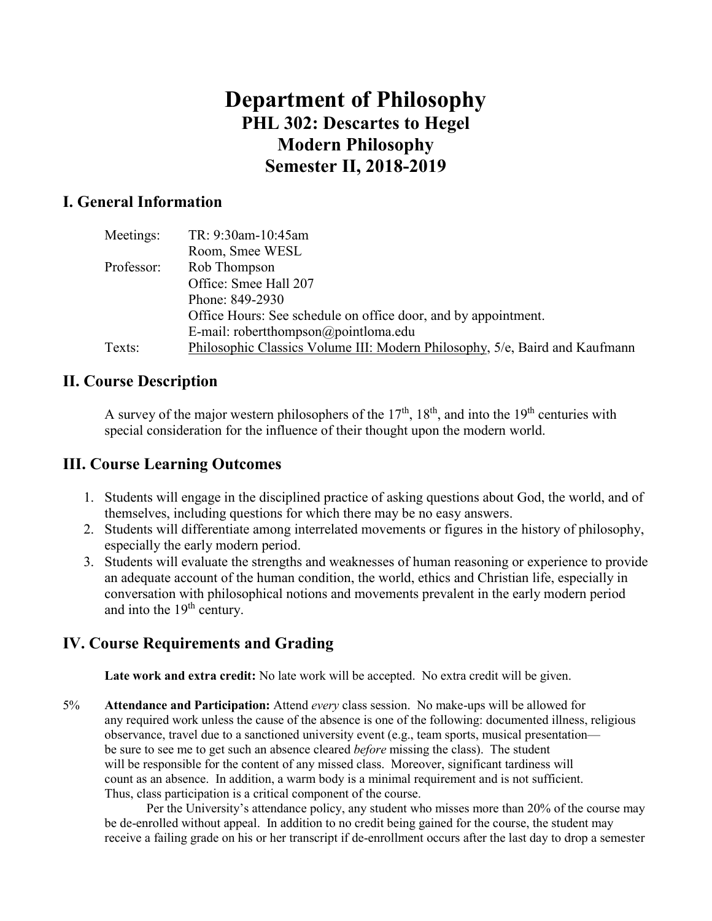# **Department of Philosophy PHL 302: Descartes to Hegel Modern Philosophy Semester II, 2018-2019**

## **I. General Information**

| Meetings:  | TR: 9:30am-10:45am                                                          |
|------------|-----------------------------------------------------------------------------|
|            | Room, Smee WESL                                                             |
| Professor: | Rob Thompson                                                                |
|            | Office: Smee Hall 207                                                       |
|            | Phone: 849-2930                                                             |
|            | Office Hours: See schedule on office door, and by appointment.              |
|            | E-mail: robertthompson@pointloma.edu                                        |
| Texts:     | Philosophic Classics Volume III: Modern Philosophy, 5/e, Baird and Kaufmann |

### **II. Course Description**

A survey of the major western philosophers of the  $17<sup>th</sup>$ ,  $18<sup>th</sup>$ , and into the  $19<sup>th</sup>$  centuries with special consideration for the influence of their thought upon the modern world.

### **III. Course Learning Outcomes**

- 1. Students will engage in the disciplined practice of asking questions about God, the world, and of themselves, including questions for which there may be no easy answers.
- 2. Students will differentiate among interrelated movements or figures in the history of philosophy, especially the early modern period.
- 3. Students will evaluate the strengths and weaknesses of human reasoning or experience to provide an adequate account of the human condition, the world, ethics and Christian life, especially in conversation with philosophical notions and movements prevalent in the early modern period and into the  $19<sup>th</sup>$  century.

# **IV. Course Requirements and Grading**

**Late work and extra credit:** No late work will be accepted. No extra credit will be given.

5% **Attendance and Participation:** Attend *every* class session. No make-ups will be allowed for any required work unless the cause of the absence is one of the following: documented illness, religious observance, travel due to a sanctioned university event (e.g., team sports, musical presentation be sure to see me to get such an absence cleared *before* missing the class). The student will be responsible for the content of any missed class. Moreover, significant tardiness will count as an absence. In addition, a warm body is a minimal requirement and is not sufficient. Thus, class participation is a critical component of the course.

Per the University's attendance policy, any student who misses more than 20% of the course may be de-enrolled without appeal. In addition to no credit being gained for the course, the student may receive a failing grade on his or her transcript if de-enrollment occurs after the last day to drop a semester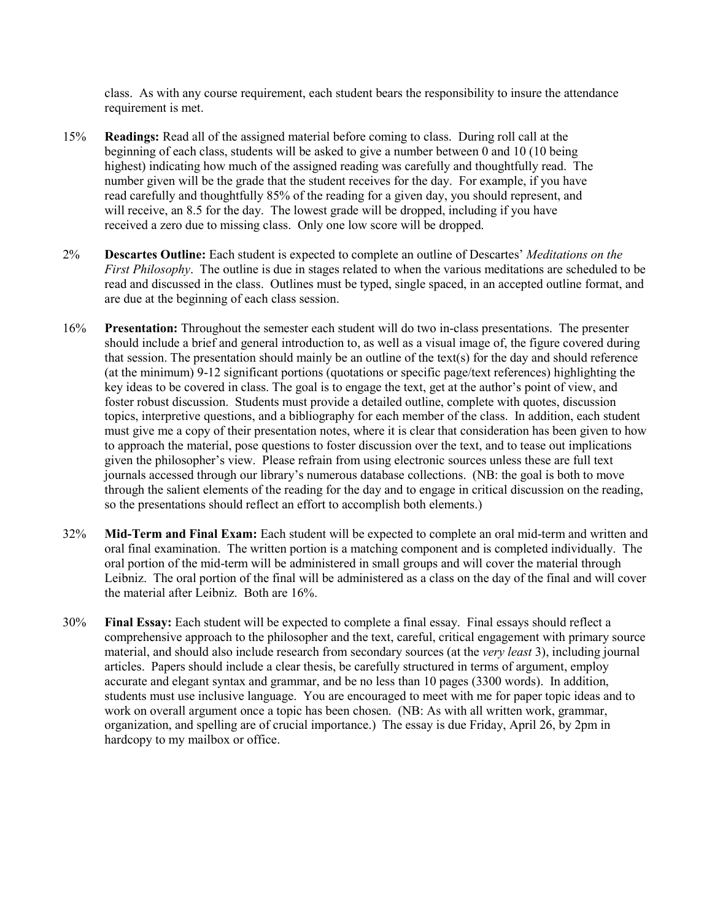class. As with any course requirement, each student bears the responsibility to insure the attendance requirement is met.

- 15% **Readings:** Read all of the assigned material before coming to class. During roll call at the beginning of each class, students will be asked to give a number between 0 and 10 (10 being highest) indicating how much of the assigned reading was carefully and thoughtfully read. The number given will be the grade that the student receives for the day. For example, if you have read carefully and thoughtfully 85% of the reading for a given day, you should represent, and will receive, an 8.5 for the day. The lowest grade will be dropped, including if you have received a zero due to missing class. Only one low score will be dropped.
- 2% **Descartes Outline:** Each student is expected to complete an outline of Descartes' *Meditations on the First Philosophy*. The outline is due in stages related to when the various meditations are scheduled to be read and discussed in the class. Outlines must be typed, single spaced, in an accepted outline format, and are due at the beginning of each class session.
- 16% **Presentation:** Throughout the semester each student will do two in-class presentations. The presenter should include a brief and general introduction to, as well as a visual image of, the figure covered during that session. The presentation should mainly be an outline of the text(s) for the day and should reference (at the minimum) 9-12 significant portions (quotations or specific page/text references) highlighting the key ideas to be covered in class. The goal is to engage the text, get at the author's point of view, and foster robust discussion. Students must provide a detailed outline, complete with quotes, discussion topics, interpretive questions, and a bibliography for each member of the class. In addition, each student must give me a copy of their presentation notes, where it is clear that consideration has been given to how to approach the material, pose questions to foster discussion over the text, and to tease out implications given the philosopher's view. Please refrain from using electronic sources unless these are full text journals accessed through our library's numerous database collections. (NB: the goal is both to move through the salient elements of the reading for the day and to engage in critical discussion on the reading, so the presentations should reflect an effort to accomplish both elements.)
- 32% **Mid-Term and Final Exam:** Each student will be expected to complete an oral mid-term and written and oral final examination. The written portion is a matching component and is completed individually. The oral portion of the mid-term will be administered in small groups and will cover the material through Leibniz. The oral portion of the final will be administered as a class on the day of the final and will cover the material after Leibniz. Both are 16%.
- 30% **Final Essay:** Each student will be expected to complete a final essay. Final essays should reflect a comprehensive approach to the philosopher and the text, careful, critical engagement with primary source material, and should also include research from secondary sources (at the *very least* 3), including journal articles. Papers should include a clear thesis, be carefully structured in terms of argument, employ accurate and elegant syntax and grammar, and be no less than 10 pages (3300 words). In addition, students must use inclusive language. You are encouraged to meet with me for paper topic ideas and to work on overall argument once a topic has been chosen. (NB: As with all written work, grammar, organization, and spelling are of crucial importance.) The essay is due Friday, April 26, by 2pm in hardcopy to my mailbox or office.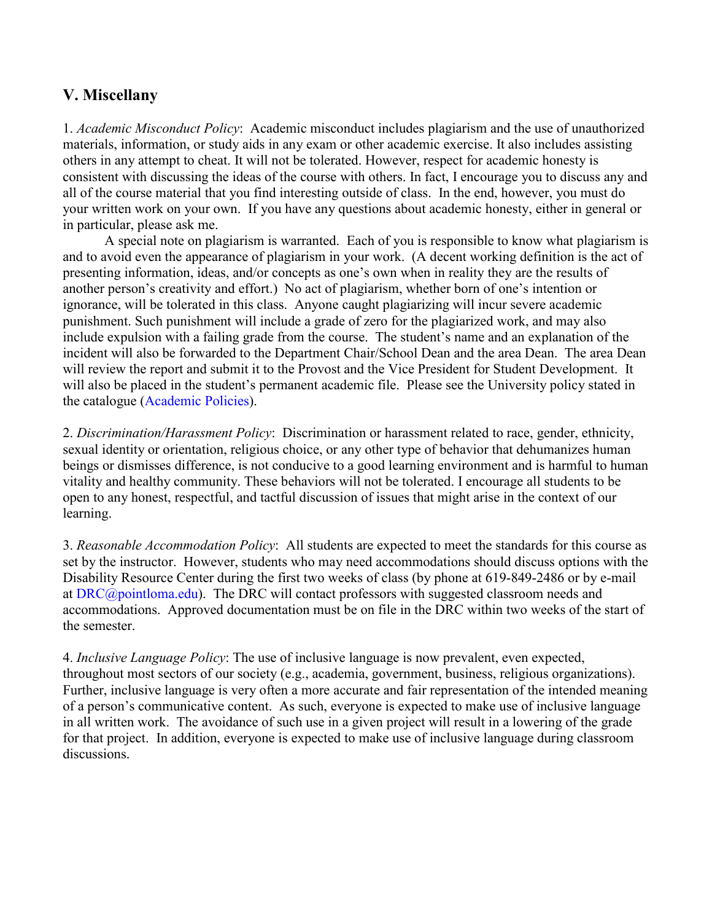# **V. Miscellany**

1. *Academic Misconduct Policy*: Academic misconduct includes plagiarism and the use of unauthorized materials, information, or study aids in any exam or other academic exercise. It also includes assisting others in any attempt to cheat. It will not be tolerated. However, respect for academic honesty is consistent with discussing the ideas of the course with others. In fact, I encourage you to discuss any and all of the course material that you find interesting outside of class. In the end, however, you must do your written work on your own. If you have any questions about academic honesty, either in general or in particular, please ask me.

A special note on plagiarism is warranted. Each of you is responsible to know what plagiarism is and to avoid even the appearance of plagiarism in your work. (A decent working definition is the act of presenting information, ideas, and/or concepts as one's own when in reality they are the results of another person's creativity and effort.) No act of plagiarism, whether born of one's intention or ignorance, will be tolerated in this class. Anyone caught plagiarizing will incur severe academic punishment. Such punishment will include a grade of zero for the plagiarized work, and may also include expulsion with a failing grade from the course. The student's name and an explanation of the incident will also be forwarded to the Department Chair/School Dean and the area Dean. The area Dean will review the report and submit it to the Provost and the Vice President for Student Development. It will also be placed in the student's permanent academic file. Please see the University policy stated in the catalogue [\(Academic Policies\)](http://catalog.pointloma.edu/content.php?catoid=18&navoid=1278).

2. *Discrimination/Harassment Policy*: Discrimination or harassment related to race, gender, ethnicity, sexual identity or orientation, religious choice, or any other type of behavior that dehumanizes human beings or dismisses difference, is not conducive to a good learning environment and is harmful to human vitality and healthy community. These behaviors will not be tolerated. I encourage all students to be open to any honest, respectful, and tactful discussion of issues that might arise in the context of our learning.

3. *Reasonable Accommodation Policy*: All students are expected to meet the standards for this course as set by the instructor. However, students who may need accommodations should discuss options with the Disability Resource Center during the first two weeks of class (by phone at 619-849-2486 or by e-mail at [DRC@pointloma.edu\)](mailto:DRC@pointloma.edu). The DRC will contact professors with suggested classroom needs and accommodations. Approved documentation must be on file in the DRC within two weeks of the start of the semester.

4. *Inclusive Language Policy*: The use of inclusive language is now prevalent, even expected, throughout most sectors of our society (e.g., academia, government, business, religious organizations). Further, inclusive language is very often a more accurate and fair representation of the intended meaning of a person's communicative content. As such, everyone is expected to make use of inclusive language in all written work. The avoidance of such use in a given project will result in a lowering of the grade for that project. In addition, everyone is expected to make use of inclusive language during classroom discussions.